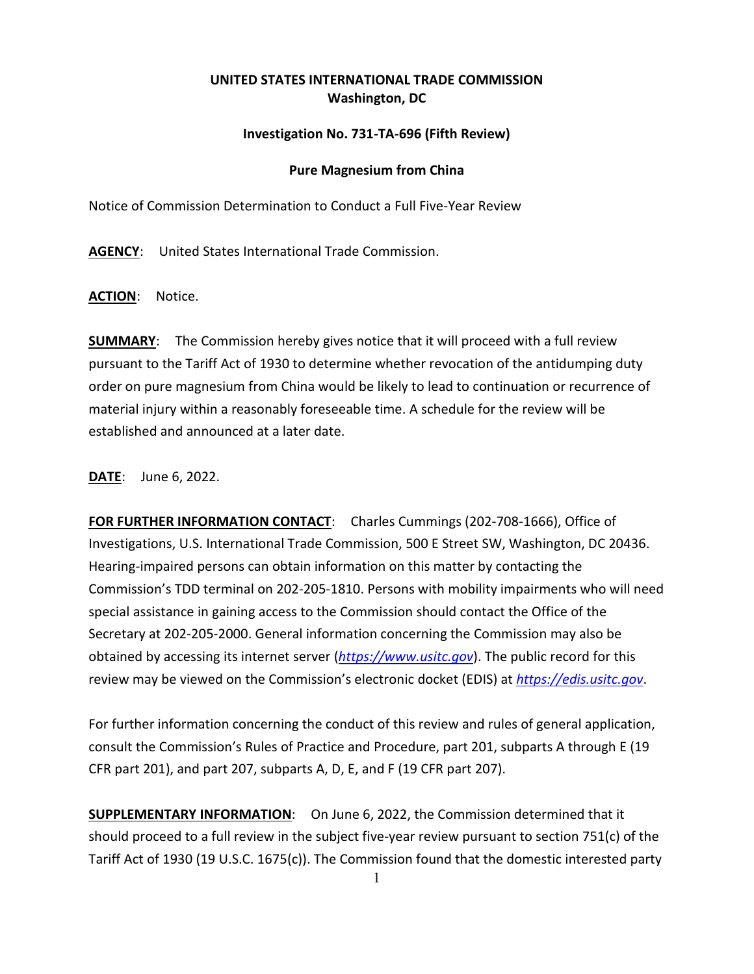## **UNITED STATES INTERNATIONAL TRADE COMMISSION Washington, DC**

## **Investigation No. 731-TA-696 (Fifth Review)**

## **Pure Magnesium from China**

Notice of Commission Determination to Conduct a Full Five-Year Review

**AGENCY**: United States International Trade Commission.

**ACTION**: Notice.

**SUMMARY**: The Commission hereby gives notice that it will proceed with a full review pursuant to the Tariff Act of 1930 to determine whether revocation of the antidumping duty order on pure magnesium from China would be likely to lead to continuation or recurrence of material injury within a reasonably foreseeable time. A schedule for the review will be established and announced at a later date.

**DATE**: June 6, 2022.

**FOR FURTHER INFORMATION CONTACT**: Charles Cummings (202-708-1666), Office of Investigations, U.S. International Trade Commission, 500 E Street SW, Washington, DC 20436. Hearing-impaired persons can obtain information on this matter by contacting the Commission's TDD terminal on 202-205-1810. Persons with mobility impairments who will need special assistance in gaining access to the Commission should contact the Office of the Secretary at 202-205-2000. General information concerning the Commission may also be obtained by accessing its internet server (*[https://www.usitc.gov](https://www.usitc.gov/)*). The public record for this review may be viewed on the Commission's electronic docket (EDIS) at *[https://edis.usitc.gov](https://edis.usitc.gov/)*.

For further information concerning the conduct of this review and rules of general application, consult the Commission's Rules of Practice and Procedure, part 201, subparts A through E (19 CFR part 201), and part 207, subparts A, D, E, and F (19 CFR part 207).

**SUPPLEMENTARY INFORMATION**: On June 6, 2022, the Commission determined that it should proceed to a full review in the subject five-year review pursuant to section 751(c) of the Tariff Act of 1930 (19 U.S.C. 1675(c)). The Commission found that the domestic interested party